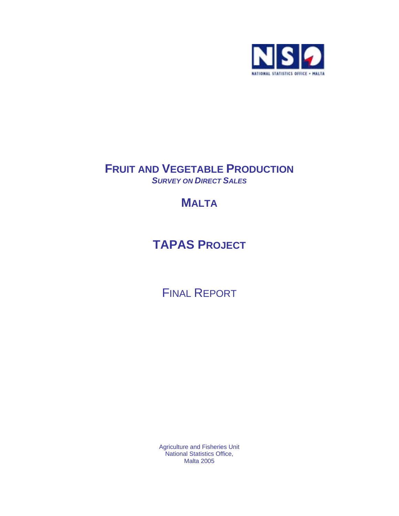

# **FRUIT AND VEGETABLE PRODUCTION**  *SURVEY ON DIRECT SALES*

# **MALTA**

# **TAPAS PROJECT**

FINAL REPORT

Agriculture and Fisheries Unit National Statistics Office, Malta 2005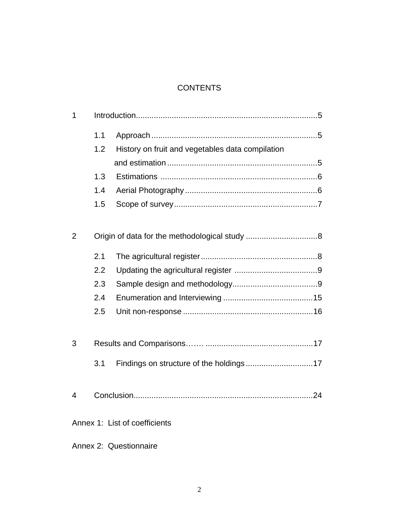## **CONTENTS**

| 1              |     |                                                  |  |
|----------------|-----|--------------------------------------------------|--|
|                | 1.1 |                                                  |  |
|                | 1.2 | History on fruit and vegetables data compilation |  |
|                |     |                                                  |  |
|                | 1.3 |                                                  |  |
|                | 1.4 |                                                  |  |
|                | 1.5 |                                                  |  |
|                |     |                                                  |  |
| $\overline{2}$ |     |                                                  |  |
|                | 2.1 |                                                  |  |
|                | 2.2 |                                                  |  |
|                | 2.3 |                                                  |  |
|                | 2.4 |                                                  |  |
|                | 2.5 |                                                  |  |
|                |     |                                                  |  |
| 3              |     |                                                  |  |
|                | 3.1 |                                                  |  |
|                |     |                                                  |  |
| $\overline{4}$ |     |                                                  |  |
|                |     | Annex 1: List of coefficients                    |  |
|                |     | Annex 2: Questionnaire                           |  |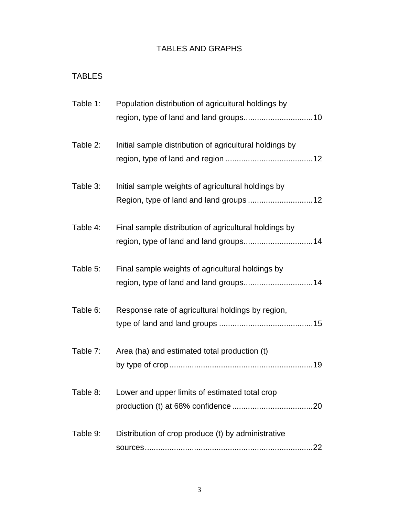# TABLES AND GRAPHS

# TABLES

| Table 1: | Population distribution of agricultural holdings by     |
|----------|---------------------------------------------------------|
| Table 2: | Initial sample distribution of agricultural holdings by |
| Table 3: | Initial sample weights of agricultural holdings by      |
| Table 4: | Final sample distribution of agricultural holdings by   |
| Table 5: | Final sample weights of agricultural holdings by        |
| Table 6: | Response rate of agricultural holdings by region,       |
| Table 7: | Area (ha) and estimated total production (t)            |
|          | Table 8: Lower and upper limits of estimated total crop |
| Table 9: | Distribution of crop produce (t) by administrative      |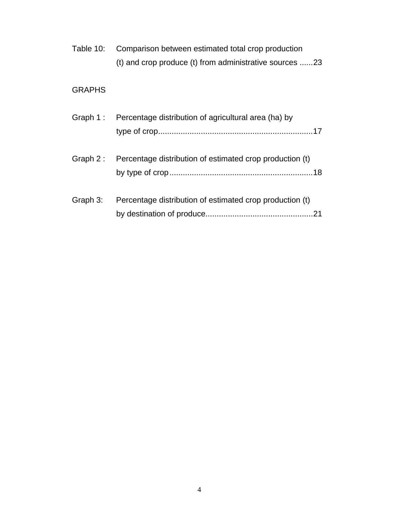| Table 10: | Comparison between estimated total crop production      |
|-----------|---------------------------------------------------------|
|           | (t) and crop produce (t) from administrative sources 23 |

# GRAPHS

|            | Graph 1: Percentage distribution of agricultural area (ha) by |
|------------|---------------------------------------------------------------|
| Graph $2:$ | Percentage distribution of estimated crop production (t)      |
| Graph 3:   | Percentage distribution of estimated crop production (t)      |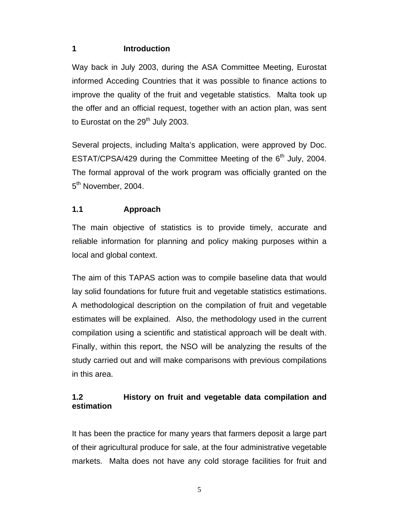#### **1 Introduction**

Way back in July 2003, during the ASA Committee Meeting, Eurostat informed Acceding Countries that it was possible to finance actions to improve the quality of the fruit and vegetable statistics. Malta took up the offer and an official request, together with an action plan, was sent to Eurostat on the  $29<sup>th</sup>$  July 2003.

Several projects, including Malta's application, were approved by Doc. ESTAT/CPSA/429 during the Committee Meeting of the 6<sup>th</sup> July, 2004. The formal approval of the work program was officially granted on the 5<sup>th</sup> November, 2004.

## **1.1 Approach**

The main objective of statistics is to provide timely, accurate and reliable information for planning and policy making purposes within a local and global context.

The aim of this TAPAS action was to compile baseline data that would lay solid foundations for future fruit and vegetable statistics estimations. A methodological description on the compilation of fruit and vegetable estimates will be explained. Also, the methodology used in the current compilation using a scientific and statistical approach will be dealt with. Finally, within this report, the NSO will be analyzing the results of the study carried out and will make comparisons with previous compilations in this area.

# **1.2 History on fruit and vegetable data compilation and estimation**

It has been the practice for many years that farmers deposit a large part of their agricultural produce for sale, at the four administrative vegetable markets. Malta does not have any cold storage facilities for fruit and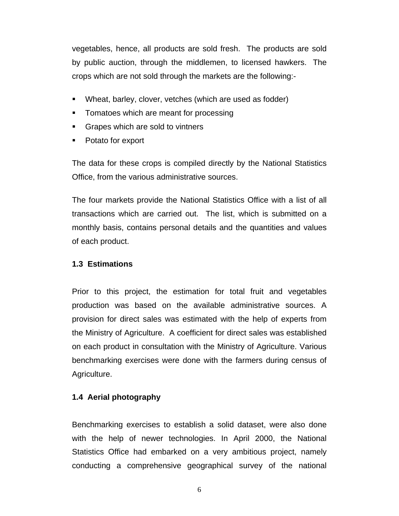vegetables, hence, all products are sold fresh. The products are sold by public auction, through the middlemen, to licensed hawkers. The crops which are not sold through the markets are the following:-

- Wheat, barley, clover, vetches (which are used as fodder)
- Tomatoes which are meant for processing
- Grapes which are sold to vintners
- Potato for export

The data for these crops is compiled directly by the National Statistics Office, from the various administrative sources.

The four markets provide the National Statistics Office with a list of all transactions which are carried out. The list, which is submitted on a monthly basis, contains personal details and the quantities and values of each product.

#### **1.3 Estimations**

Prior to this project, the estimation for total fruit and vegetables production was based on the available administrative sources. A provision for direct sales was estimated with the help of experts from the Ministry of Agriculture. A coefficient for direct sales was established on each product in consultation with the Ministry of Agriculture. Various benchmarking exercises were done with the farmers during census of Agriculture.

#### **1.4 Aerial photography**

Benchmarking exercises to establish a solid dataset, were also done with the help of newer technologies. In April 2000, the National Statistics Office had embarked on a very ambitious project, namely conducting a comprehensive geographical survey of the national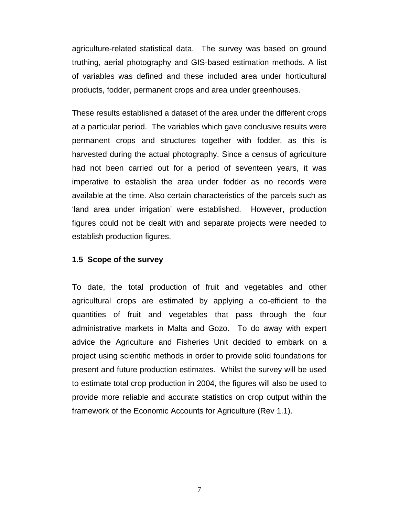agriculture-related statistical data. The survey was based on ground truthing, aerial photography and GIS-based estimation methods. A list of variables was defined and these included area under horticultural products, fodder, permanent crops and area under greenhouses.

These results established a dataset of the area under the different crops at a particular period. The variables which gave conclusive results were permanent crops and structures together with fodder, as this is harvested during the actual photography. Since a census of agriculture had not been carried out for a period of seventeen years, it was imperative to establish the area under fodder as no records were available at the time. Also certain characteristics of the parcels such as 'land area under irrigation' were established. However, production figures could not be dealt with and separate projects were needed to establish production figures.

#### **1.5 Scope of the survey**

To date, the total production of fruit and vegetables and other agricultural crops are estimated by applying a co-efficient to the quantities of fruit and vegetables that pass through the four administrative markets in Malta and Gozo. To do away with expert advice the Agriculture and Fisheries Unit decided to embark on a project using scientific methods in order to provide solid foundations for present and future production estimates. Whilst the survey will be used to estimate total crop production in 2004, the figures will also be used to provide more reliable and accurate statistics on crop output within the framework of the Economic Accounts for Agriculture (Rev 1.1).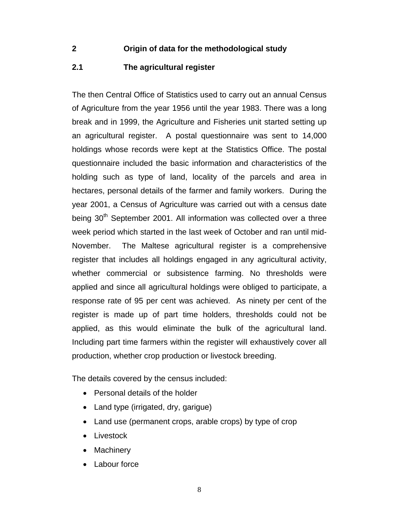#### **2 Origin of data for the methodological study**

#### **2.1 The agricultural register**

The then Central Office of Statistics used to carry out an annual Census of Agriculture from the year 1956 until the year 1983. There was a long break and in 1999, the Agriculture and Fisheries unit started setting up an agricultural register. A postal questionnaire was sent to 14,000 holdings whose records were kept at the Statistics Office. The postal questionnaire included the basic information and characteristics of the holding such as type of land, locality of the parcels and area in hectares, personal details of the farmer and family workers. During the year 2001, a Census of Agriculture was carried out with a census date being 30<sup>th</sup> September 2001. All information was collected over a three week period which started in the last week of October and ran until mid-November. The Maltese agricultural register is a comprehensive register that includes all holdings engaged in any agricultural activity, whether commercial or subsistence farming. No thresholds were applied and since all agricultural holdings were obliged to participate, a response rate of 95 per cent was achieved. As ninety per cent of the register is made up of part time holders, thresholds could not be applied, as this would eliminate the bulk of the agricultural land. Including part time farmers within the register will exhaustively cover all production, whether crop production or livestock breeding.

The details covered by the census included:

- Personal details of the holder
- Land type (irrigated, dry, garigue)
- Land use (permanent crops, arable crops) by type of crop
- Livestock
- Machinery
- Labour force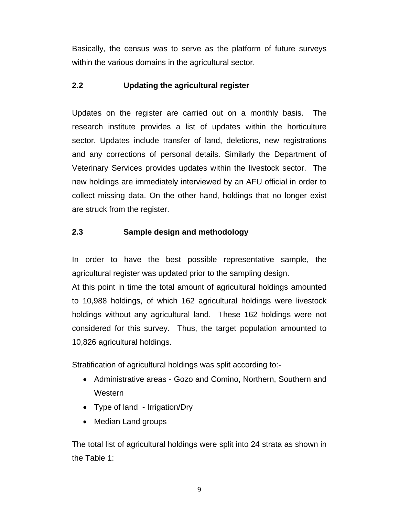Basically, the census was to serve as the platform of future surveys within the various domains in the agricultural sector.

#### **2.2 Updating the agricultural register**

Updates on the register are carried out on a monthly basis. The research institute provides a list of updates within the horticulture sector. Updates include transfer of land, deletions, new registrations and any corrections of personal details. Similarly the Department of Veterinary Services provides updates within the livestock sector. The new holdings are immediately interviewed by an AFU official in order to collect missing data. On the other hand, holdings that no longer exist are struck from the register.

## **2.3 Sample design and methodology**

In order to have the best possible representative sample, the agricultural register was updated prior to the sampling design.

At this point in time the total amount of agricultural holdings amounted to 10,988 holdings, of which 162 agricultural holdings were livestock holdings without any agricultural land. These 162 holdings were not considered for this survey. Thus, the target population amounted to 10,826 agricultural holdings.

Stratification of agricultural holdings was split according to:-

- Administrative areas Gozo and Comino, Northern, Southern and **Western**
- Type of land Irrigation/Dry
- Median Land groups

The total list of agricultural holdings were split into 24 strata as shown in the Table 1: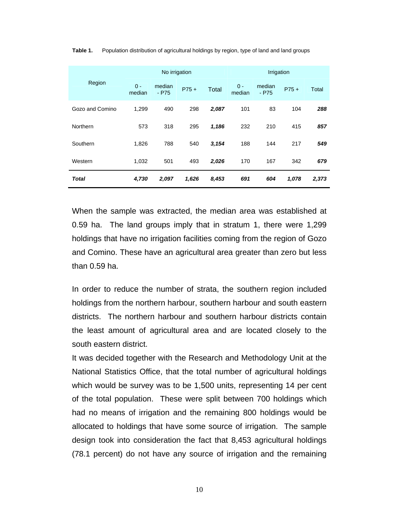|                 |                 | No irrigation     |        |              | Irrigation      |                   |        |       |
|-----------------|-----------------|-------------------|--------|--------------|-----------------|-------------------|--------|-------|
| Region          | $0 -$<br>median | median<br>$-$ P75 | $P75+$ | <b>Total</b> | $0 -$<br>median | median<br>$-$ P75 | $P75+$ | Total |
| Gozo and Comino | 1,299           | 490               | 298    | 2,087        | 101             | 83                | 104    | 288   |
| Northern        | 573             | 318               | 295    | 1,186        | 232             | 210               | 415    | 857   |
| Southern        | 1,826           | 788               | 540    | 3,154        | 188             | 144               | 217    | 549   |
| Western         | 1,032           | 501               | 493    | 2,026        | 170             | 167               | 342    | 679   |
| Total           | 4,730           | 2,097             | 1,626  | 8,453        | 691             | 604               | 1,078  | 2,373 |

**Table 1.** Population distribution of agricultural holdings by region, type of land and land groups

When the sample was extracted, the median area was established at 0.59 ha. The land groups imply that in stratum 1, there were 1,299 holdings that have no irrigation facilities coming from the region of Gozo and Comino. These have an agricultural area greater than zero but less than 0.59 ha.

In order to reduce the number of strata, the southern region included holdings from the northern harbour, southern harbour and south eastern districts. The northern harbour and southern harbour districts contain the least amount of agricultural area and are located closely to the south eastern district.

It was decided together with the Research and Methodology Unit at the National Statistics Office, that the total number of agricultural holdings which would be survey was to be 1,500 units, representing 14 per cent of the total population. These were split between 700 holdings which had no means of irrigation and the remaining 800 holdings would be allocated to holdings that have some source of irrigation. The sample design took into consideration the fact that 8,453 agricultural holdings (78.1 percent) do not have any source of irrigation and the remaining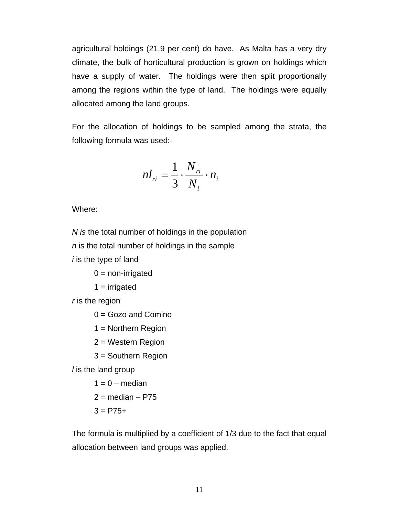agricultural holdings (21.9 per cent) do have. As Malta has a very dry climate, the bulk of horticultural production is grown on holdings which have a supply of water. The holdings were then split proportionally among the regions within the type of land. The holdings were equally allocated among the land groups.

For the allocation of holdings to be sampled among the strata, the following formula was used:-

$$
nl_{ri} = \frac{1}{3} \cdot \frac{N_{ri}}{N_i} \cdot n_i
$$

Where:

*N is* the total number of holdings in the population *n* is the total number of holdings in the sample

*i* is the type of land

 $0 =$  non-irrigated

 $1 =$  irrigated

*r* is the region

 $0 =$  Gozo and Comino

1 = Northern Region

2 = Western Region

3 = Southern Region

*l* is the land group

 $1 = 0$  – median  $2 =$  median – P75  $3 = P75+$ 

The formula is multiplied by a coefficient of 1/3 due to the fact that equal allocation between land groups was applied.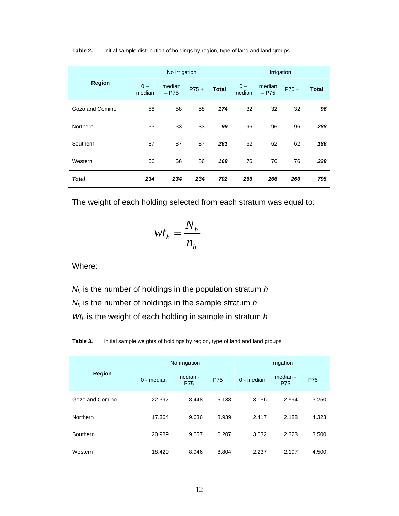|                 | No irrigation   |                   |        |              | Irrigation      |                   |        |              |
|-----------------|-----------------|-------------------|--------|--------------|-----------------|-------------------|--------|--------------|
| <b>Region</b>   | $0 -$<br>median | median<br>$-$ P75 | $P75+$ | <b>Total</b> | $0 -$<br>median | median<br>$-$ P75 | $P75+$ | <b>Total</b> |
| Gozo and Comino | 58              | 58                | 58     | 174          | 32              | 32                | 32     | 96           |
| Northern        | 33              | 33                | 33     | 99           | 96              | 96                | 96     | 288          |
| Southern        | 87              | 87                | 87     | 261          | 62              | 62                | 62     | 186          |
| Western         | 56              | 56                | 56     | 168          | 76              | 76                | 76     | 228          |
| <b>Total</b>    | 234             | 234               | 234    | 702          | 266             | 266               | 266    | 798          |

Table 2. Initial sample distribution of holdings by region, type of land and land groups

The weight of each holding selected from each stratum was equal to:

$$
wt_h = \frac{N_h}{n_h}
$$

Where:

*Nh* is the number of holdings in the population stratum *h Nh* is the number of holdings in the sample stratum *h Wth* is the weight of each holding in sample in stratum *h*

**Table 3.** Initial sample weights of holdings by region, type of land and land groups

|                 |            | No irrigation          |        | Irrigation |                        |        |  |
|-----------------|------------|------------------------|--------|------------|------------------------|--------|--|
| Region          | 0 - median | median -<br><b>P75</b> | $P75+$ | 0 - median | median -<br><b>P75</b> | $P75+$ |  |
| Gozo and Comino | 22.397     | 8.448                  | 5.138  | 3.156      | 2.594                  | 3.250  |  |
| Northern        | 17.364     | 9.636                  | 8.939  | 2.417      | 2.188                  | 4.323  |  |
| Southern        | 20.989     | 9.057                  | 6.207  | 3.032      | 2.323                  | 3.500  |  |
| Western         | 18.429     | 8.946                  | 8.804  | 2.237      | 2.197                  | 4.500  |  |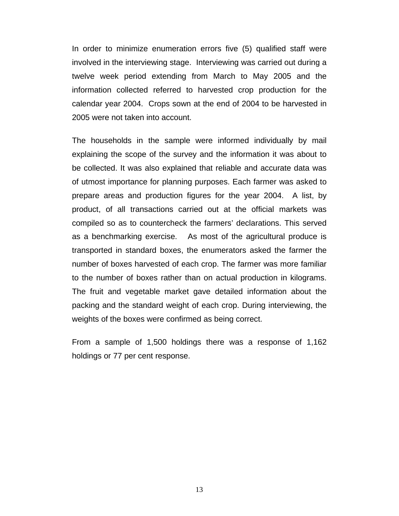In order to minimize enumeration errors five (5) qualified staff were involved in the interviewing stage. Interviewing was carried out during a twelve week period extending from March to May 2005 and the information collected referred to harvested crop production for the calendar year 2004. Crops sown at the end of 2004 to be harvested in 2005 were not taken into account.

The households in the sample were informed individually by mail explaining the scope of the survey and the information it was about to be collected. It was also explained that reliable and accurate data was of utmost importance for planning purposes. Each farmer was asked to prepare areas and production figures for the year 2004. A list, by product, of all transactions carried out at the official markets was compiled so as to countercheck the farmers' declarations. This served as a benchmarking exercise. As most of the agricultural produce is transported in standard boxes, the enumerators asked the farmer the number of boxes harvested of each crop. The farmer was more familiar to the number of boxes rather than on actual production in kilograms. The fruit and vegetable market gave detailed information about the packing and the standard weight of each crop. During interviewing, the weights of the boxes were confirmed as being correct.

From a sample of 1,500 holdings there was a response of 1,162 holdings or 77 per cent response.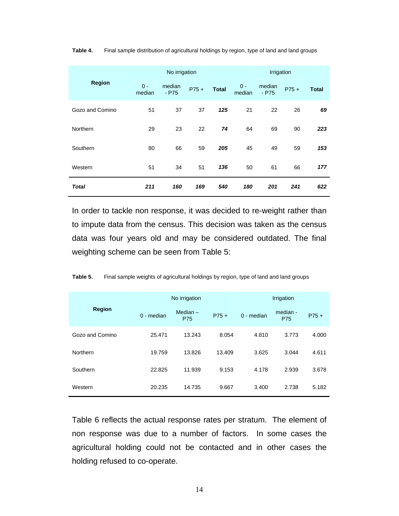|                 | No irrigation   |                   |        |              | Irrigation      |                   |        |              |
|-----------------|-----------------|-------------------|--------|--------------|-----------------|-------------------|--------|--------------|
| <b>Region</b>   | $0 -$<br>median | median<br>$-$ P75 | $P75+$ | <b>Total</b> | $0 -$<br>median | median<br>$-$ P75 | $P75+$ | <b>Total</b> |
| Gozo and Comino | 51              | 37                | 37     | 125          | 21              | 22                | 26     | 69           |
| Northern        | 29              | 23                | 22     | 74           | 64              | 69                | 90     | 223          |
| Southern        | 80              | 66                | 59     | 205          | 45              | 49                | 59     | 153          |
| Western         | 51              | 34                | 51     | 136          | 50              | 61                | 66     | 177          |
| Total           | 211             | 160               | 169    | 540          | 180             | 201               | 241    | 622          |

**Table 4.** Final sample distribution of agricultural holdings by region, type of land and land groups

In order to tackle non response, it was decided to re-weight rather than to impute data from the census. This decision was taken as the census data was four years old and may be considered outdated. The final weighting scheme can be seen from Table 5:

|                 |              | No irrigation            |        | Irrigation   |                        |        |  |
|-----------------|--------------|--------------------------|--------|--------------|------------------------|--------|--|
| Region          | $0$ - median | Median $-$<br><b>P75</b> | $P75+$ | $0$ - median | median -<br><b>P75</b> | $P75+$ |  |
| Gozo and Comino | 25.471       | 13.243                   | 8.054  | 4.810        | 3.773                  | 4.000  |  |
| Northern        | 19.759       | 13.826                   | 13.409 | 3.625        | 3.044                  | 4.611  |  |
| Southern        | 22.825       | 11.939                   | 9.153  | 4.178        | 2.939                  | 3.678  |  |
| Western         | 20.235       | 14.735                   | 9.667  | 3.400        | 2.738                  | 5.182  |  |

Table 5. Final sample weights of agricultural holdings by region, type of land and land groups

Table 6 reflects the actual response rates per stratum. The element of non response was due to a number of factors. In some cases the agricultural holding could not be contacted and in other cases the holding refused to co-operate.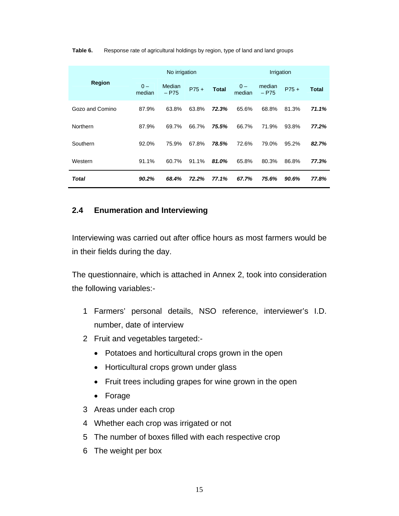|                 | No irrigation   |                   |        | Irrigation   |                 |                   |        |              |
|-----------------|-----------------|-------------------|--------|--------------|-----------------|-------------------|--------|--------------|
| <b>Region</b>   | $0 -$<br>median | Median<br>$-$ P75 | $P75+$ | <b>Total</b> | $0 -$<br>median | median<br>$-$ P75 | $P75+$ | <b>Total</b> |
| Gozo and Comino | 87.9%           | 63.8%             | 63.8%  | 72.3%        | 65.6%           | 68.8%             | 81.3%  | 71.1%        |
| Northern        | 87.9%           | 69.7%             | 66.7%  | 75.5%        | 66.7%           | 71.9%             | 93.8%  | 77.2%        |
| Southern        | 92.0%           | 75.9%             | 67.8%  | 78.5%        | 72.6%           | 79.0%             | 95.2%  | 82.7%        |
| Western         | 91.1%           | 60.7%             | 91.1%  | 81.0%        | 65.8%           | 80.3%             | 86.8%  | 77.3%        |
| Total           | 90.2%           | 68.4%             | 72.2%  | 77.1%        | 67.7%           | 75.6%             | 90.6%  | 77.8%        |

#### Table 6. Response rate of agricultural holdings by region, type of land and land groups

#### **2.4 Enumeration and Interviewing**

Interviewing was carried out after office hours as most farmers would be in their fields during the day.

The questionnaire, which is attached in Annex 2, took into consideration the following variables:-

- 1 Farmers' personal details, NSO reference, interviewer's I.D. number, date of interview
- 2 Fruit and vegetables targeted:-
	- Potatoes and horticultural crops grown in the open
	- Horticultural crops grown under glass
	- Fruit trees including grapes for wine grown in the open
	- Forage
- 3 Areas under each crop
- 4 Whether each crop was irrigated or not
- 5 The number of boxes filled with each respective crop
- 6 The weight per box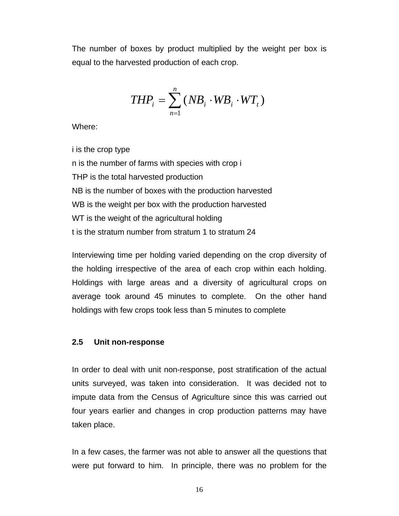The number of boxes by product multiplied by the weight per box is equal to the harvested production of each crop.

$$
THP_i = \sum_{n=1}^{n} (NB_i \cdot WB_i \cdot WT_i)
$$

Where:

i is the crop type n is the number of farms with species with crop i THP is the total harvested production NB is the number of boxes with the production harvested WB is the weight per box with the production harvested WT is the weight of the agricultural holding t is the stratum number from stratum 1 to stratum 24

Interviewing time per holding varied depending on the crop diversity of the holding irrespective of the area of each crop within each holding. Holdings with large areas and a diversity of agricultural crops on average took around 45 minutes to complete. On the other hand holdings with few crops took less than 5 minutes to complete

#### **2.5 Unit non-response**

In order to deal with unit non-response, post stratification of the actual units surveyed, was taken into consideration. It was decided not to impute data from the Census of Agriculture since this was carried out four years earlier and changes in crop production patterns may have taken place.

In a few cases, the farmer was not able to answer all the questions that were put forward to him. In principle, there was no problem for the

16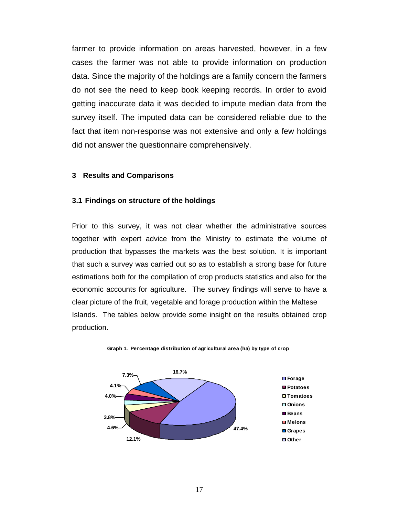farmer to provide information on areas harvested, however, in a few cases the farmer was not able to provide information on production data. Since the majority of the holdings are a family concern the farmers do not see the need to keep book keeping records. In order to avoid getting inaccurate data it was decided to impute median data from the survey itself. The imputed data can be considered reliable due to the fact that item non-response was not extensive and only a few holdings did not answer the questionnaire comprehensively.

#### **3 Results and Comparisons**

#### **3.1 Findings on structure of the holdings**

Prior to this survey, it was not clear whether the administrative sources together with expert advice from the Ministry to estimate the volume of production that bypasses the markets was the best solution. It is important that such a survey was carried out so as to establish a strong base for future estimations both for the compilation of crop products statistics and also for the economic accounts for agriculture. The survey findings will serve to have a clear picture of the fruit, vegetable and forage production within the Maltese Islands. The tables below provide some insight on the results obtained crop production.



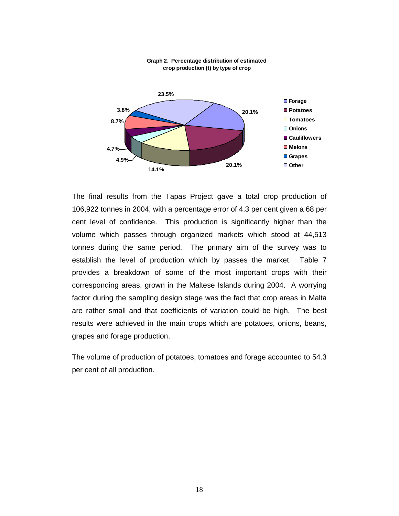

#### **Graph 2. Percentage distribution of estimated crop production (t) by type of crop**

The final results from the Tapas Project gave a total crop production of 106,922 tonnes in 2004, with a percentage error of 4.3 per cent given a 68 per cent level of confidence. This production is significantly higher than the volume which passes through organized markets which stood at 44,513 tonnes during the same period. The primary aim of the survey was to establish the level of production which by passes the market. Table 7 provides a breakdown of some of the most important crops with their corresponding areas, grown in the Maltese Islands during 2004. A worrying factor during the sampling design stage was the fact that crop areas in Malta are rather small and that coefficients of variation could be high. The best results were achieved in the main crops which are potatoes, onions, beans, grapes and forage production.

The volume of production of potatoes, tomatoes and forage accounted to 54.3 per cent of all production.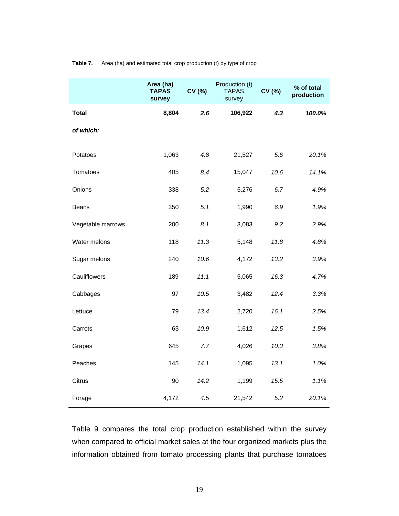|                   | Area (ha)<br><b>TAPAS</b><br>survey | CV (%) | Production (t)<br><b>TAPAS</b><br>survey | CV (%) | % of total<br>production |
|-------------------|-------------------------------------|--------|------------------------------------------|--------|--------------------------|
| <b>Total</b>      | 8,804                               | 2.6    | 106,922                                  | 4.3    | 100.0%                   |
| of which:         |                                     |        |                                          |        |                          |
| Potatoes          | 1,063                               | 4.8    | 21,527                                   | 5.6    | 20.1%                    |
| Tomatoes          | 405                                 | 8.4    | 15,047                                   | 10.6   | 14.1%                    |
| Onions            | 338                                 | 5.2    | 5,276                                    | 6.7    | 4.9%                     |
| Beans             | 350                                 | 5.1    | 1,990                                    | 6.9    | 1.9%                     |
| Vegetable marrows | 200                                 | 8.1    | 3,083                                    | 9.2    | 2.9%                     |
| Water melons      | 118                                 | 11.3   | 5,148                                    | 11.8   | 4.8%                     |
| Sugar melons      | 240                                 | 10.6   | 4,172                                    | 13.2   | 3.9%                     |
| Cauliflowers      | 189                                 | 11.1   | 5,065                                    | 16.3   | 4.7%                     |
| Cabbages          | 97                                  | 10.5   | 3,482                                    | 12.4   | 3.3%                     |
| Lettuce           | 79                                  | 13.4   | 2,720                                    | 16.1   | 2.5%                     |
| Carrots           | 63                                  | 10.9   | 1,612                                    | 12.5   | 1.5%                     |
| Grapes            | 645                                 | 7.7    | 4,026                                    | 10.3   | 3.8%                     |
| Peaches           | 145                                 | 14.1   | 1,095                                    | 13.1   | 1.0%                     |
| Citrus            | 90                                  | 14.2   | 1,199                                    | 15.5   | 1.1%                     |
| Forage            | 4,172                               | 4.5    | 21,542                                   | 5.2    | 20.1%                    |

#### **Table 7.** Area (ha) and estimated total crop production (t) by type of crop

Table 9 compares the total crop production established within the survey when compared to official market sales at the four organized markets plus the information obtained from tomato processing plants that purchase tomatoes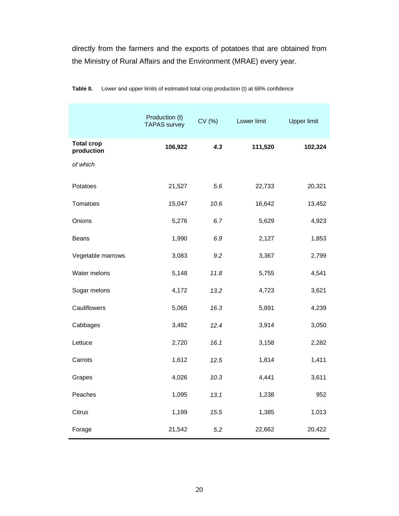directly from the farmers and the exports of potatoes that are obtained from the Ministry of Rural Affairs and the Environment (MRAE) every year.

|                                 | Production (t)<br><b>TAPAS</b> survey | CV (%) | Lower limit | <b>Upper limit</b> |
|---------------------------------|---------------------------------------|--------|-------------|--------------------|
| <b>Total crop</b><br>production | 106,922                               | 4.3    | 111,520     | 102,324            |
| of which                        |                                       |        |             |                    |
| Potatoes                        | 21,527                                | 5.6    | 22,733      | 20,321             |
| Tomatoes                        | 15,047                                | 10.6   | 16,642      | 13,452             |
| Onions                          | 5,276                                 | 6.7    | 5,629       | 4,923              |
| <b>Beans</b>                    | 1,990                                 | 6.9    | 2,127       | 1,853              |
| Vegetable marrows               | 3,083                                 | 9.2    | 3,367       | 2,799              |
| Water melons                    | 5,148                                 | 11.8   | 5,755       | 4,541              |
| Sugar melons                    | 4,172                                 | 13.2   | 4,723       | 3,621              |
| Cauliflowers                    | 5,065                                 | 16.3   | 5,891       | 4,239              |
| Cabbages                        | 3,482                                 | 12.4   | 3,914       | 3,050              |
| Lettuce                         | 2,720                                 | 16.1   | 3,158       | 2,282              |
| Carrots                         | 1,612                                 | 12.5   | 1,814       | 1,411              |
| Grapes                          | 4,026                                 | 10.3   | 4,441       | 3,611              |
| Peaches                         | 1,095                                 | 13.1   | 1,238       | 952                |
| Citrus                          | 1,199                                 | 15.5   | 1,385       | 1,013              |
| Forage                          | 21,542                                | 5.2    | 22,662      | 20,422             |

| Table 8. |  | Lower and upper limits of estimated total crop production (t) at 68% confidence |
|----------|--|---------------------------------------------------------------------------------|
|----------|--|---------------------------------------------------------------------------------|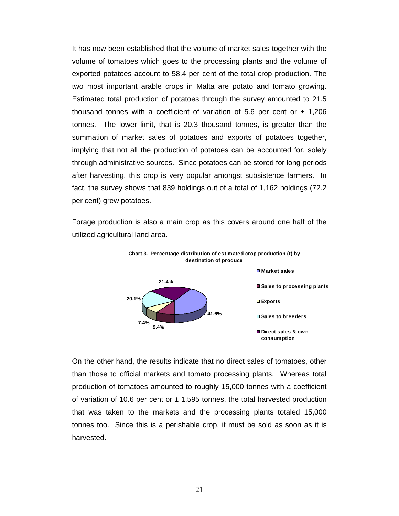It has now been established that the volume of market sales together with the volume of tomatoes which goes to the processing plants and the volume of exported potatoes account to 58.4 per cent of the total crop production. The two most important arable crops in Malta are potato and tomato growing. Estimated total production of potatoes through the survey amounted to 21.5 thousand tonnes with a coefficient of variation of 5.6 per cent or  $\pm$  1,206 tonnes. The lower limit, that is 20.3 thousand tonnes, is greater than the summation of market sales of potatoes and exports of potatoes together, implying that not all the production of potatoes can be accounted for, solely through administrative sources. Since potatoes can be stored for long periods after harvesting, this crop is very popular amongst subsistence farmers. In fact, the survey shows that 839 holdings out of a total of 1,162 holdings (72.2 per cent) grew potatoes.

Forage production is also a main crop as this covers around one half of the utilized agricultural land area.



**Chart 3. Percentage distribution of estimated crop production (t) by** 

On the other hand, the results indicate that no direct sales of tomatoes, other than those to official markets and tomato processing plants. Whereas total production of tomatoes amounted to roughly 15,000 tonnes with a coefficient of variation of 10.6 per cent or  $\pm$  1,595 tonnes, the total harvested production that was taken to the markets and the processing plants totaled 15,000 tonnes too. Since this is a perishable crop, it must be sold as soon as it is harvested.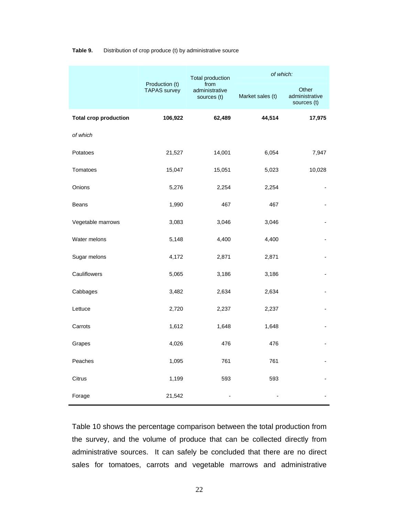|                              | Production (t)<br><b>TAPAS</b> survey | <b>Total production</b>               | of which:        |                                        |  |
|------------------------------|---------------------------------------|---------------------------------------|------------------|----------------------------------------|--|
|                              |                                       | from<br>administrative<br>sources (t) | Market sales (t) | Other<br>administrative<br>sources (t) |  |
| <b>Total crop production</b> | 106,922                               | 62,489                                | 44,514           | 17,975                                 |  |
| of which                     |                                       |                                       |                  |                                        |  |
| Potatoes                     | 21,527                                | 14,001                                | 6,054            | 7,947                                  |  |
| Tomatoes                     | 15,047                                | 15,051                                | 5,023            | 10,028                                 |  |
| Onions                       | 5,276                                 | 2,254                                 | 2,254            | $\overline{\phantom{a}}$               |  |
| <b>Beans</b>                 | 1,990                                 | 467                                   | 467              |                                        |  |
| Vegetable marrows            | 3,083                                 | 3,046                                 | 3,046            |                                        |  |
| Water melons                 | 5,148                                 | 4,400                                 | 4,400            |                                        |  |
| Sugar melons                 | 4,172                                 | 2,871                                 | 2,871            |                                        |  |
| Cauliflowers                 | 5,065                                 | 3,186                                 | 3,186            |                                        |  |
| Cabbages                     | 3,482                                 | 2,634                                 | 2,634            |                                        |  |
| Lettuce                      | 2,720                                 | 2,237                                 | 2,237            |                                        |  |
| Carrots                      | 1,612                                 | 1,648                                 | 1,648            |                                        |  |
| Grapes                       | 4,026                                 | 476                                   | 476              |                                        |  |
| Peaches                      | 1,095                                 | 761                                   | 761              |                                        |  |
| Citrus                       | 1,199                                 | 593                                   | 593              |                                        |  |
| Forage                       | 21,542                                |                                       |                  |                                        |  |

#### **Table 9.** Distribution of crop produce (t) by administrative source

Table 10 shows the percentage comparison between the total production from the survey, and the volume of produce that can be collected directly from administrative sources. It can safely be concluded that there are no direct sales for tomatoes, carrots and vegetable marrows and administrative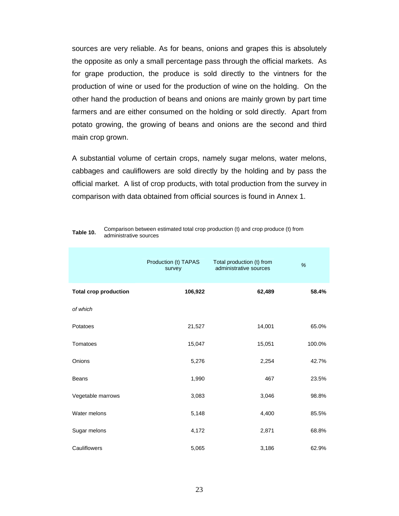sources are very reliable. As for beans, onions and grapes this is absolutely the opposite as only a small percentage pass through the official markets. As for grape production, the produce is sold directly to the vintners for the production of wine or used for the production of wine on the holding. On the other hand the production of beans and onions are mainly grown by part time farmers and are either consumed on the holding or sold directly. Apart from potato growing, the growing of beans and onions are the second and third main crop grown.

A substantial volume of certain crops, namely sugar melons, water melons, cabbages and cauliflowers are sold directly by the holding and by pass the official market. A list of crop products, with total production from the survey in comparison with data obtained from official sources is found in Annex 1.

|                              | Production (t) TAPAS<br>survey | Total production (t) from<br>administrative sources | %      |
|------------------------------|--------------------------------|-----------------------------------------------------|--------|
| <b>Total crop production</b> | 106,922                        | 62,489                                              | 58.4%  |
| of which                     |                                |                                                     |        |
| Potatoes                     | 21,527                         | 14,001                                              | 65.0%  |
| Tomatoes                     | 15,047                         | 15,051                                              | 100.0% |
| Onions                       | 5,276                          | 2,254                                               | 42.7%  |
| <b>Beans</b>                 | 1,990                          | 467                                                 | 23.5%  |
| Vegetable marrows            | 3,083                          | 3,046                                               | 98.8%  |
| Water melons                 | 5,148                          | 4,400                                               | 85.5%  |
| Sugar melons                 | 4,172                          | 2,871                                               | 68.8%  |
| Cauliflowers                 | 5,065                          | 3,186                                               | 62.9%  |

| Table 10. | Comparison between estimated total crop production (t) and crop produce (t) from |
|-----------|----------------------------------------------------------------------------------|
|           | administrative sources                                                           |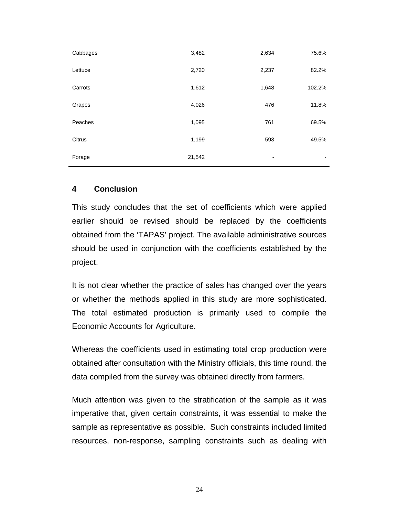| Cabbages | 3,482  | 2,634                    | 75.6%          |
|----------|--------|--------------------------|----------------|
| Lettuce  | 2,720  | 2,237                    | 82.2%          |
| Carrots  | 1,612  | 1,648                    | 102.2%         |
| Grapes   | 4,026  | 476                      | 11.8%          |
| Peaches  | 1,095  | 761                      | 69.5%          |
| Citrus   | 1,199  | 593                      | 49.5%          |
| Forage   | 21,542 | $\overline{\phantom{a}}$ | $\blacksquare$ |

#### **4 Conclusion**

This study concludes that the set of coefficients which were applied earlier should be revised should be replaced by the coefficients obtained from the 'TAPAS' project. The available administrative sources should be used in conjunction with the coefficients established by the project.

It is not clear whether the practice of sales has changed over the years or whether the methods applied in this study are more sophisticated. The total estimated production is primarily used to compile the Economic Accounts for Agriculture.

Whereas the coefficients used in estimating total crop production were obtained after consultation with the Ministry officials, this time round, the data compiled from the survey was obtained directly from farmers.

Much attention was given to the stratification of the sample as it was imperative that, given certain constraints, it was essential to make the sample as representative as possible. Such constraints included limited resources, non-response, sampling constraints such as dealing with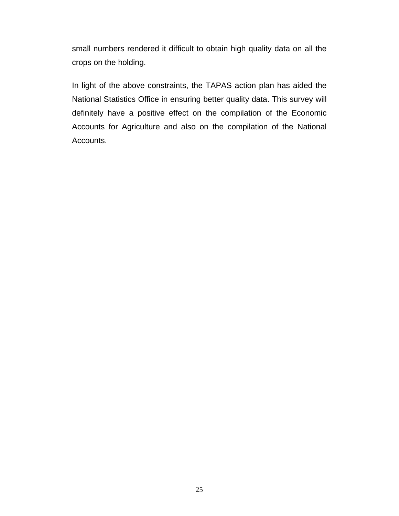small numbers rendered it difficult to obtain high quality data on all the crops on the holding.

In light of the above constraints, the TAPAS action plan has aided the National Statistics Office in ensuring better quality data. This survey will definitely have a positive effect on the compilation of the Economic Accounts for Agriculture and also on the compilation of the National Accounts.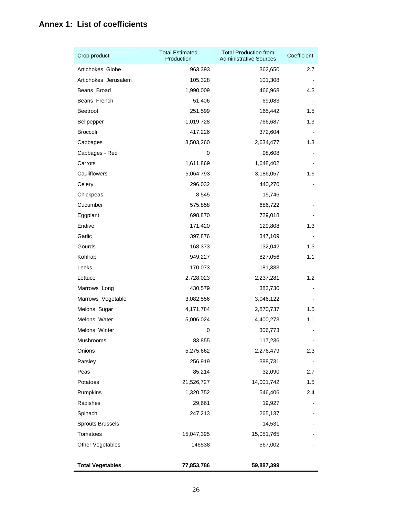# **Annex 1: List of coefficients**

| Crop product            | <b>Total Estimated</b><br>Production | <b>Total Production from</b><br><b>Administrative Sources</b> | Coefficient   |
|-------------------------|--------------------------------------|---------------------------------------------------------------|---------------|
| Artichokes Globe        | 963,393                              | 362,650                                                       | 2.7           |
| Artichokes Jerusalem    | 105,328                              | 101,308                                                       |               |
| Beans Broad             | 1,990,009                            | 466,968                                                       | 4.3           |
| Beans French            | 51,406                               | 69,083                                                        |               |
| Beetroot                | 251,599                              | 165,442                                                       | 1.5           |
| Bellpepper              | 1,019,728                            | 766,687                                                       | 1.3           |
| <b>Broccoli</b>         | 417,226                              | 372,604                                                       |               |
| Cabbages                | 3,503,260                            | 2,634,477                                                     | 1.3           |
| Cabbages - Red          | 0                                    | 98,608                                                        |               |
| Carrots                 | 1,611,869                            | 1,648,402                                                     |               |
| Cauliflowers            | 5,064,793                            | 3,186,057                                                     | 1.6           |
| Celery                  | 296,032                              | 440,270                                                       |               |
| Chickpeas               | 8,545                                | 15,746                                                        |               |
| Cucumber                | 575,858                              | 686,722                                                       |               |
| Eggplant                | 698,870                              | 729,018                                                       |               |
| Endive                  | 171,420                              | 129,808                                                       | 1.3           |
| Garlic                  | 397,876                              | 347,109                                                       |               |
| Gourds                  | 168,373                              | 132,042                                                       | 1.3           |
| Kohlrabi                | 949,227                              | 827,056                                                       | 1.1           |
| Leeks                   | 170,073                              | 181,383                                                       |               |
| Lettuce                 | 2,728,023                            | 2,237,281                                                     | $1.2^{\circ}$ |
| Marrows Long            | 430,579                              | 383,730                                                       |               |
| Marrows Vegetable       | 3,082,556                            | 3,046,122                                                     |               |
| Melons Sugar            | 4,171,784                            | 2,870,737                                                     | 1.5           |
| Melons Water            | 5,006,024                            | 4,400,273                                                     | 1.1           |
| Melons Winter           | 0                                    | 306,773                                                       |               |
| Mushrooms               | 83,855                               | 117,236                                                       |               |
| Onions                  | 5,275,662                            | 2,276,479                                                     | 2.3           |
| Parsley                 | 256,919                              | 388,731                                                       |               |
| Peas                    | 85,214                               | 32,090                                                        | 2.7           |
| Potatoes                | 21,526,727                           | 14,001,742                                                    | 1.5           |
| Pumpkins                | 1,320,752                            | 546,406                                                       | 2.4           |
| Radishes                | 29,661                               | 19,927                                                        |               |
| Spinach                 | 247,213                              | 265,137                                                       |               |
| <b>Sprouts Brussels</b> |                                      | 14,531                                                        |               |
| Tomatoes                | 15,047,395                           | 15,051,765                                                    |               |
| Other Vegetables        | 146538                               | 567,002                                                       |               |
| <b>Total Vegetables</b> | 77,853,786                           | 59,887,399                                                    |               |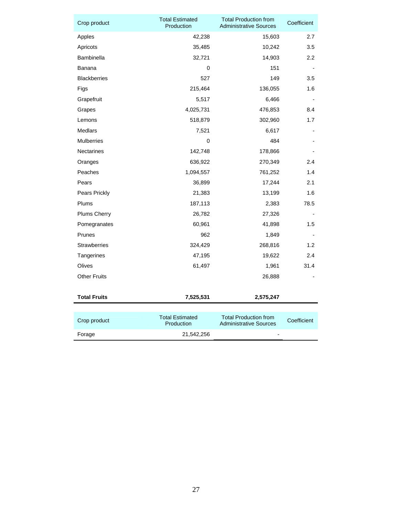| Crop product        | <b>Total Estimated</b><br>Production | <b>Total Production from</b><br><b>Administrative Sources</b> | Coefficient |
|---------------------|--------------------------------------|---------------------------------------------------------------|-------------|
| Apples              | 42,238                               | 15,603                                                        | 2.7         |
| Apricots            | 35,485                               | 10,242                                                        | 3.5         |
| <b>Bambinella</b>   | 32,721                               | 14,903                                                        | $2.2\,$     |
| Banana              | 0                                    | 151                                                           |             |
| <b>Blackberries</b> | 527                                  | 149                                                           | 3.5         |
| Figs                | 215,464                              | 136,055                                                       | 1.6         |
| Grapefruit          | 5,517                                | 6,466                                                         |             |
| Grapes              | 4,025,731                            | 476,853                                                       | 8.4         |
| Lemons              | 518,879                              | 302,960                                                       | 1.7         |
| Medlars             | 7,521                                | 6,617                                                         |             |
| <b>Mulberries</b>   | 0                                    | 484                                                           |             |
| <b>Nectarines</b>   | 142,748                              | 178,866                                                       |             |
| Oranges             | 636,922                              | 270,349                                                       | 2.4         |
| Peaches             | 1,094,557                            | 761,252                                                       | 1.4         |
| Pears               | 36,899                               | 17,244                                                        | 2.1         |
| Pears Prickly       | 21,383                               | 13,199                                                        | 1.6         |
| Plums               | 187,113                              | 2,383                                                         | 78.5        |
| <b>Plums Cherry</b> | 26,782                               | 27,326                                                        |             |
| Pomegranates        | 60,961                               | 41,898                                                        | 1.5         |
| Prunes              | 962                                  | 1,849                                                         |             |
| <b>Strawberries</b> | 324,429                              | 268,816                                                       | 1.2         |
| Tangerines          | 47,195                               | 19,622                                                        | 2.4         |
| Olives              | 61,497                               | 1,961                                                         | 31.4        |
| <b>Other Fruits</b> |                                      | 26,888                                                        |             |
|                     |                                      |                                                               |             |
| <b>Total Fruits</b> | 7,525,531                            | 2,575,247                                                     |             |
|                     |                                      |                                                               |             |
| Crop product        | <b>Total Estimated</b><br>Production | <b>Total Production from</b><br><b>Administrative Sources</b> | Coefficient |
| Forage              | 21,542,256                           | $\overline{\phantom{a}}$                                      |             |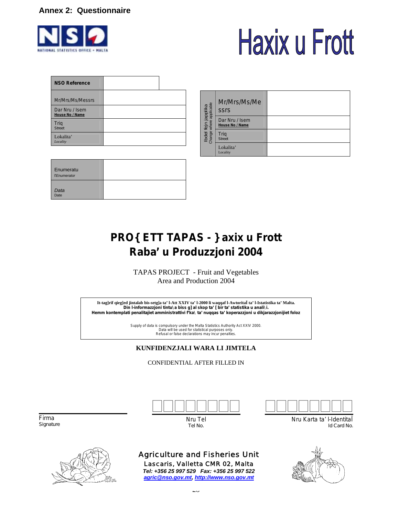#### **Annex 2: Questionnaire**



# **Haxix u Frott**

| <b>NSO Reference</b>              |  |
|-----------------------------------|--|
| Mr/Mrs/Ms/Messrs                  |  |
| Dar Nru / Isem<br>House No / Name |  |
| Trig<br><b>Street</b>             |  |
| Lokalita'<br>Locality             |  |

| Enumeratu<br><b>TEnumerator</b> |  |
|---------------------------------|--|
| Data<br>Date                    |  |

|                                                               | Mr/Mrs/Ms/Me<br><b>SSIS</b>       |  |
|---------------------------------------------------------------|-----------------------------------|--|
| fejn japplika<br>where applicable<br><b>Ibdel 1</b><br>Change | Dar Nru / Isem<br>House No / Name |  |
|                                                               | Trig<br><b>Street</b>             |  |
|                                                               | Lokalita'<br>Locality             |  |

# **PRO{ETT TAPAS - }axix u Frott Raba' u Produzzjoni 2004**

TAPAS PROJECT - Fruit and Vegetables Area and Production 2004

**It-tag]rif qieg]ed jintalab bis-setg]a ta' l-Att XXIV ta' l-2000 li waqqaf l-AwtoritaÏ ta' l-Istatistika ta' Malta. Din l-informazzjoni tintu\a biss g]al skop ta' [bir ta' statistika u anali\i. Hemm kontemplati penalitajiet amministrattivi f'ka\ ta' nuqqas ta' koperazzjoni u dikjarazzjonijiet foloz** 

> Supply of data is compulsory under the Malta Statistics Authority Act XXIV 2000. Data will be used for statistical purposes only. Refusal or false declarations may incur penalties.

#### **KUNFIDENZJALI WARA LI JIMTELA**

#### CONFIDENTIAL AFTER FILLED IN



Nru Tel *Tel No.*

 Firma *Signature* 



# Agriculture and Fisheries Unit

Lascaris, Valletta CMR 02, Malta *Tel: +356 25 997 529 Fax: +356 25 997 522 agric@nso.gov.mt, http://www.nso.gov.mt*



Nru Karta ta' l-IdentitaÏ *Id Card No.*

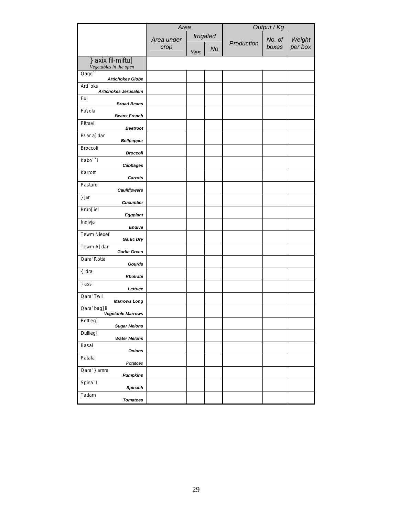|                                             | Area       |     |           | Output / Kg |        |         |
|---------------------------------------------|------------|-----|-----------|-------------|--------|---------|
|                                             | Area under |     | Irrigated | Production  | No. of | Weight  |
|                                             | crop       | Yes | <b>No</b> |             | boxes  | per box |
| } axix fil-miftu]<br>Vegetables in the open |            |     |           |             |        |         |
| Qaqo`<br><b>Artichokes Globe</b>            |            |     |           |             |        |         |
| Arti`oks<br><b>Artichokes Jerusalem</b>     |            |     |           |             |        |         |
| Ful<br><b>Broad Beans</b>                   |            |     |           |             |        |         |
| Fa\ola<br><b>Beans French</b>               |            |     |           |             |        |         |
| Pitravi<br><b>Beetroot</b>                  |            |     |           |             |        |         |
| B\ar a]dar<br><b>Bellpepper</b>             |            |     |           |             |        |         |
| Broccoli<br><b>Broccoli</b>                 |            |     |           |             |        |         |
| Kabo``i<br>Cabbages                         |            |     |           |             |        |         |
| Karrotti<br><b>Carrots</b>                  |            |     |           |             |        |         |
| Pastard<br><b>Cauliflowers</b>              |            |     |           |             |        |         |
| } jar<br><b>Cucumber</b>                    |            |     |           |             |        |         |
| Brun[iel<br>Eggplant                        |            |     |           |             |        |         |
| Indivja<br>Endive                           |            |     |           |             |        |         |
| <b>Tewm Niexef</b><br><b>Garlic Dry</b>     |            |     |           |             |        |         |
| Tewm A]dar<br><b>Garlic Green</b>           |            |     |           |             |        |         |
| Qara' Rotta<br>Gourds                       |            |     |           |             |        |         |
| { idra<br>Kholrabi                          |            |     |           |             |        |         |
| } ass<br>Lettuce                            |            |     |           |             |        |         |
| Qara' Twil<br><b>Marrows Long</b>           |            |     |           |             |        |         |
| Qara' bag]li<br><b>Vegetable Marrows</b>    |            |     |           |             |        |         |
| Bettieg]<br><b>Sugar Melons</b>             |            |     |           |             |        |         |
| Dullieg]<br><b>Water Melons</b>             |            |     |           |             |        |         |
| Basal<br><b>Onions</b>                      |            |     |           |             |        |         |
| Patata<br>Potatoes                          |            |     |           |             |        |         |
| Qara' } amra<br><b>Pumpkins</b>             |            |     |           |             |        |         |
| Spina'l<br>Spinach                          |            |     |           |             |        |         |
| Tadam<br><b>Tomatoes</b>                    |            |     |           |             |        |         |